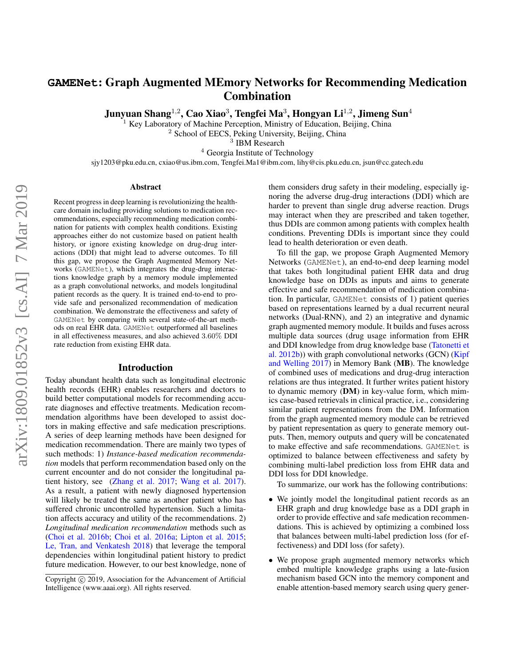# **GAMENet**: Graph Augmented MEmory Networks for Recommending Medication Combination

Junyuan Shang $^{1,2}$ , Cao Xiao $^3$ , Tengfei Ma $^3$ , Hongyan Li $^{1,2}$ , Jimeng Sun $^4$ 

 $1$  Key Laboratory of Machine Perception, Ministry of Education, Beijing, China

<sup>2</sup> School of EECS, Peking University, Beijing, China

3 IBM Research

<sup>4</sup> Georgia Institute of Technology

sjy1203@pku.edu.cn, cxiao@us.ibm.com, Tengfei.Ma1@ibm.com, lihy@cis.pku.edu.cn, jsun@cc.gatech.edu

### Abstract

Recent progress in deep learning is revolutionizing the healthcare domain including providing solutions to medication recommendations, especially recommending medication combination for patients with complex health conditions. Existing approaches either do not customize based on patient health history, or ignore existing knowledge on drug-drug interactions (DDI) that might lead to adverse outcomes. To fill this gap, we propose the Graph Augmented Memory Networks (GAMENet), which integrates the drug-drug interactions knowledge graph by a memory module implemented as a graph convolutional networks, and models longitudinal patient records as the query. It is trained end-to-end to provide safe and personalized recommendation of medication combination. We demonstrate the effectiveness and safety of GAMENet by comparing with several state-of-the-art methods on real EHR data. GAMENet outperformed all baselines in all effectiveness measures, and also achieved 3.60% DDI rate reduction from existing EHR data.

#### Introduction

Today abundant health data such as longitudinal electronic health records (EHR) enables researchers and doctors to build better computational models for recommending accurate diagnoses and effective treatments. Medication recommendation algorithms have been developed to assist doctors in making effective and safe medication prescriptions. A series of deep learning methods have been designed for medication recommendation. There are mainly two types of such methods: 1) *Instance-based medication recommendation* models that perform recommendation based only on the current encounter and do not consider the longitudinal patient history, see [\(Zhang et al. 2017;](#page-7-0) [Wang et al. 2017\)](#page-7-1). As a result, a patient with newly diagnosed hypertension will likely be treated the same as another patient who has suffered chronic uncontrolled hypertension. Such a limitation affects accuracy and utility of the recommendations. 2) *Longitudinal medication recommendation* methods such as [\(Choi et al. 2016b;](#page-7-2) [Choi et al. 2016a;](#page-7-3) [Lipton et al. 2015;](#page-7-4) [Le, Tran, and Venkatesh 2018\)](#page-7-5) that leverage the temporal dependencies within longitudinal patient history to predict future medication. However, to our best knowledge, none of

them considers drug safety in their modeling, especially ignoring the adverse drug-drug interactions (DDI) which are harder to prevent than single drug adverse reaction. Drugs may interact when they are prescribed and taken together, thus DDIs are common among patients with complex health conditions. Preventing DDIs is important since they could lead to health deterioration or even death.

To fill the gap, we propose Graph Augmented Memory Networks (GAMENet), an end-to-end deep learning model that takes both longitudinal patient EHR data and drug knowledge base on DDIs as inputs and aims to generate effective and safe recommendation of medication combination. In particular, GAMENet consists of 1) patient queries based on representations learned by a dual recurrent neural networks (Dual-RNN), and 2) an integrative and dynamic graph augmented memory module. It builds and fuses across multiple data sources (drug usage information from EHR and DDI knowledge from drug knowledge base [\(Tatonetti et](#page-7-6) [al. 2012b\)](#page-7-6)) with graph convolutional networks (GCN) [\(Kipf](#page-7-7) [and Welling 2017\)](#page-7-7) in Memory Bank (MB). The knowledge of combined uses of medications and drug-drug interaction relations are thus integrated. It further writes patient history to dynamic memory (DM) in key-value form, which mimics case-based retrievals in clinical practice, i.e., considering similar patient representations from the DM. Information from the graph augmented memory module can be retrieved by patient representation as query to generate memory outputs. Then, memory outputs and query will be concatenated to make effective and safe recommendations. GAMENet is optimized to balance between effectiveness and safety by combining multi-label prediction loss from EHR data and DDI loss for DDI knowledge.

To summarize, our work has the following contributions:

- We jointly model the longitudinal patient records as an EHR graph and drug knowledge base as a DDI graph in order to provide effective and safe medication recommendations. This is achieved by optimizing a combined loss that balances between multi-label prediction loss (for effectiveness) and DDI loss (for safety).
- We propose graph augmented memory networks which embed multiple knowledge graphs using a late-fusion mechanism based GCN into the memory component and enable attention-based memory search using query gener-

Copyright  $\odot$  2019, Association for the Advancement of Artificial Intelligence (www.aaai.org). All rights reserved.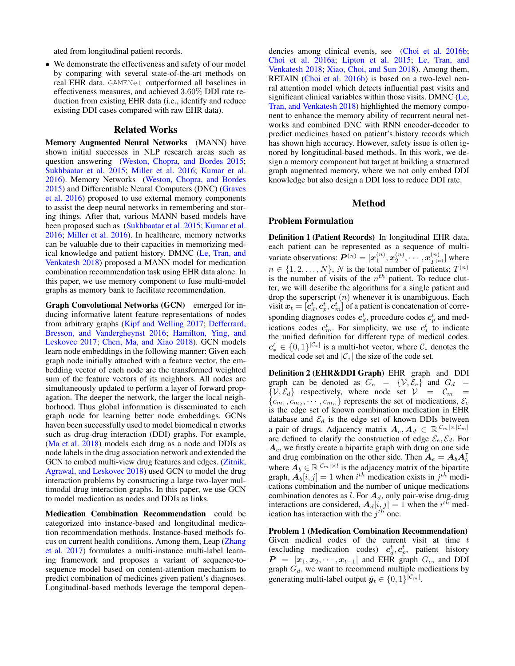ated from longitudinal patient records.

• We demonstrate the effectiveness and safety of our model by comparing with several state-of-the-art methods on real EHR data. GAMENet outperformed all baselines in effectiveness measures, and achieved 3.60% DDI rate reduction from existing EHR data (i.e., identify and reduce existing DDI cases compared with raw EHR data).

# Related Works

Memory Augmented Neural Networks (MANN) have shown initial successes in NLP research areas such as question answering [\(Weston, Chopra, and Bordes 2015;](#page-7-8) [Sukhbaatar et al. 2015;](#page-7-9) [Miller et al. 2016;](#page-7-10) [Kumar et al.](#page-7-11) [2016\)](#page-7-11). Memory Networks [\(Weston, Chopra, and Bordes](#page-7-8) [2015\)](#page-7-8) and Differentiable Neural Computers (DNC) [\(Graves](#page-7-12) [et al. 2016\)](#page-7-12) proposed to use external memory components to assist the deep neural networks in remembering and storing things. After that, various MANN based models have been proposed such as [\(Sukhbaatar et al. 2015;](#page-7-9) [Kumar et al.](#page-7-11) [2016;](#page-7-11) [Miller et al. 2016\)](#page-7-10). In healthcare, memory networks can be valuable due to their capacities in memorizing medical knowledge and patient history. DMNC [\(Le, Tran, and](#page-7-5) [Venkatesh 2018\)](#page-7-5) proposed a MANN model for medication combination recommendation task using EHR data alone. In this paper, we use memory component to fuse multi-model graphs as memory bank to facilitate recommendation.

Graph Convolutional Networks (GCN) emerged for inducing informative latent feature representations of nodes from arbitrary graphs [\(Kipf and Welling 2017;](#page-7-7) [Defferrard,](#page-7-13) [Bresson, and Vandergheynst 2016;](#page-7-13) [Hamilton, Ying, and](#page-7-14) [Leskovec 2017;](#page-7-14) [Chen, Ma, and Xiao 2018\)](#page-7-15). GCN models learn node embeddings in the following manner: Given each graph node initially attached with a feature vector, the embedding vector of each node are the transformed weighted sum of the feature vectors of its neighbors. All nodes are simultaneously updated to perform a layer of forward propagation. The deeper the network, the larger the local neighborhood. Thus global information is disseminated to each graph node for learning better node embeddings. GCNs haven been successfully used to model biomedical n etworks such as drug-drug interaction (DDI) graphs. For example, [\(Ma et al. 2018\)](#page-7-16) models each drug as a node and DDIs as node labels in the drug association network and extended the GCN to embed multi-view drug features and edges. [\(Zitnik,](#page-7-17) [Agrawal, and Leskovec 2018\)](#page-7-17) used GCN to model the drug interaction problems by constructing a large two-layer multimodal drug interaction graphs. In this paper, we use GCN to model medication as nodes and DDIs as links.

Medication Combination Recommendation could be categorized into instance-based and longitudinal medication recommendation methods. Instance-based methods focus on current health conditions. Among them, Leap [\(Zhang](#page-7-0) [et al. 2017\)](#page-7-0) formulates a multi-instance multi-label learning framework and proposes a variant of sequence-tosequence model based on content-attention mechanism to predict combination of medicines given patient's diagnoses. Longitudinal-based methods leverage the temporal depen-

dencies among clinical events, see [\(Choi et al. 2016b;](#page-7-2) [Choi et al. 2016a;](#page-7-3) [Lipton et al. 2015;](#page-7-4) [Le, Tran, and](#page-7-5) [Venkatesh 2018;](#page-7-5) [Xiao, Choi, and Sun 2018\)](#page-7-18). Among them, RETAIN [\(Choi et al. 2016b\)](#page-7-2) is based on a two-level neural attention model which detects influential past visits and significant clinical variables within those visits. DMNC [\(Le,](#page-7-5) [Tran, and Venkatesh 2018\)](#page-7-5) highlighted the memory component to enhance the memory ability of recurrent neural networks and combined DNC with RNN encoder-decoder to predict medicines based on patient's history records which has shown high accuracy. However, safety issue is often ignored by longitudinal-based methods. In this work, we design a memory component but target at building a structured graph augmented memory, where we not only embed DDI knowledge but also design a DDI loss to reduce DDI rate.

# Method

### Problem Formulation

Definition 1 (Patient Records) In longitudinal EHR data, each patient can be represented as a sequence of multivariate observations:  $\bm{P}^{(n)} = [\bm{x}_1^{(n)}, \bm{x}_2^{(n)}, \cdots, \bm{x}_{T^{(r)}}^{(n)}]$  $T^{(n)} \choose T^{(n)}$  where  $n \in \{1, 2, \ldots, N\}$ , N is the total number of patients;  $T^{(n)}$ is the number of visits of the  $n<sup>th</sup>$  patient. To reduce clutter, we will describe the algorithms for a single patient and drop the superscript  $(n)$  whenever it is unambiguous. Each visit  $x_t = [c_d^t, c_p^t, c_m^t]$  of a patient is concatenation of corresponding diagnoses codes  $c_d^t$ , procedure codes  $c_p^t$  and medications codes  $c_m^t$ . For simplicity, we use  $c_*^t$  to indicate the unified definition for different type of medical codes.  $c^t_* \in \{0,1\}^{|\mathcal{C}_*|}$  is a multi-hot vector, where  $\mathcal{C}_*$  denotes the medical code set and  $|\mathcal{C}_*|$  the size of the code set.

Definition 2 (EHR&DDI Graph) EHR graph and DDI graph can be denoted as  $G_e = \{V, \mathcal{E}_e\}$  and  $G_d =$  $\{V, \mathcal{E}_d\}$  respectively, where node set  $V = C_m$  $\{c_{m_1}, c_{m_2}, \cdots, c_{m_n}\}\$  represents the set of medications,  $\mathcal{E}_e$ is the edge set of known combination medication in EHR database and  $\mathcal{E}_d$  is the edge set of known DDIs between a pair of drugs. Adjacency matrix  $A_e, A_d \in \mathbb{R}^{|\mathcal{C}_m| \times |\mathcal{C}_m|}$ are defined to clarify the construction of edge  $\mathcal{E}_e, \mathcal{E}_d$ . For  $A_e$ , we firstly create a bipartite graph with drug on one side and drug combination on the other side. Then  $A_e = A_b A_b^{\dagger}$ where  $A_b \in \mathbb{R}^{|\mathcal{C}_m| \times l}$  is the adjacency matrix of the bipartite graph,  $A_b[i, j] = 1$  when  $i^{th}$  medication exists in  $j^{th}$  medications combination and the number of unique medications combination denotes as *l*. For  $A_d$ , only pair-wise drug-drug interactions are considered,  $A_d[i, j] = 1$  when the  $i^{th}$  medication has interaction with the  $j<sup>th</sup>$  one.

Problem 1 (Medication Combination Recommendation) Given medical codes of the current visit at time  $t$ (excluding medication codes)  $c_d^t$ ,  $c_p^t$ , patient history  $P = [x_1, x_2, \cdots, x_{t-1}]$  and EHR graph  $G_e$ , and DDI graph  $\tilde{G}_d$ , we want to recommend multiple medications by generating multi-label output  $\hat{y}_t \in \{0, 1\}^{|\mathcal{C}_m|}$ .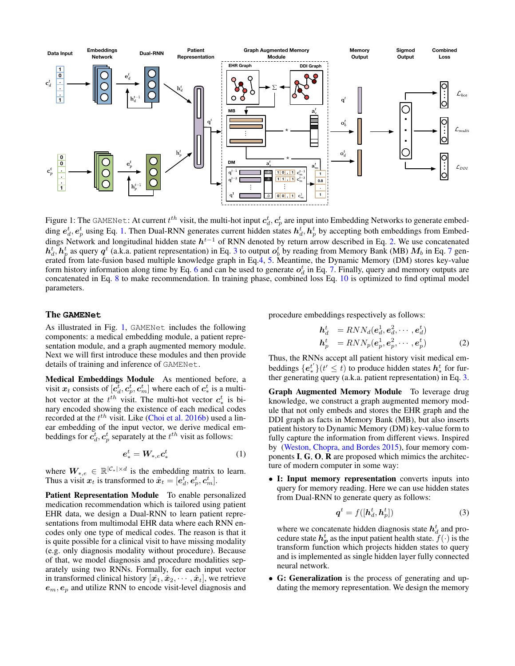

<span id="page-2-3"></span>Figure 1: The GAMENet: At current  $t^{th}$  visit, the multi-hot input  $c_d^t$ ,  $c_p^t$  are input into Embedding Networks to generate embedding  $e_d^t$ ,  $e_p^t$  using Eq. [1.](#page-2-0) Then Dual-RNN generates current hidden states  $h_d^t$ ,  $h_p^t$  by accepting both embeddings from Embeddings Network and longitudinal hidden state  $h^{t-1}$  of RNN denoted by return arrow described in Eq. [2.](#page-2-1) We use concatenated  $h_d^t$ ,  $h_p^t$  as query  $q^t$  (a.k.a. patient representation) in Eq. [3](#page-2-2) to output  $o_b^t$  by reading from Memory Bank (MB)  $M_b$  in Eq. [7](#page-3-0) generated from late-fusion based multiple knowledge graph in Eq[.4,](#page-3-1) [5.](#page-3-2) Meantime, the Dynamic Memory (DM) stores key-value form history information along time by Eq. [6](#page-3-3) and can be used to generate  $o_d^t$  in Eq. [7.](#page-3-0) Finally, query and memory outputs are concatenated in Eq. [8](#page-3-4) to make recommendation. In training phase, combined loss Eq. [10](#page-4-0) is optimized to find optimal model parameters.

### The **GAMENet**

As illustrated in Fig. [1,](#page-2-3) GAMENet includes the following components: a medical embedding module, a patient representation module, and a graph augmented memory module. Next we will first introduce these modules and then provide details of training and inference of GAMENet.

Medical Embeddings Module As mentioned before, a visit  $x_t$  consists of  $[c_d^{\overline{t}}, c_p^t, c_m^t]$  where each of  $c_*^t$  is a multihot vector at the  $t^{th}$  visit. The multi-hot vector  $c^t_*$  is binary encoded showing the existence of each medical codes recorded at the  $t^{th}$  visit. Like [\(Choi et al. 2016b\)](#page-7-2) used a linear embedding of the input vector, we derive medical embeddings for  $\vec{c}_d^t$ ,  $\vec{c}_p^t$  separately at the  $t^{th}$  visit as follows:

<span id="page-2-0"></span>
$$
\boldsymbol{e}_{*}^{t} = \boldsymbol{W}_{*,e} \boldsymbol{c}_{*}^{t} \tag{1}
$$

where  $W_{*,e} \in \mathbb{R}^{|\mathcal{C}_*| \times d}$  is the embedding matrix to learn. Thus a visit  $x_t$  is transformed to  $\hat{x}_t = [e_d^t, e_p^t, c_m^t]$ .

Patient Representation Module To enable personalized medication recommendation which is tailored using patient EHR data, we design a Dual-RNN to learn patient representations from multimodal EHR data where each RNN encodes only one type of medical codes. The reason is that it is quite possible for a clinical visit to have missing modality (e.g. only diagnosis modality without procedure). Because of that, we model diagnosis and procedure modalities separately using two RNNs. Formally, for each input vector in transformed clinical history  $[\hat{x_1}, \hat{x}_2, \dots, \hat{x}_t]$ , we retrieve  $e_m, e_p$  and utilize RNN to encode visit-level diagnosis and procedure embeddings respectively as follows:

<span id="page-2-1"></span>
$$
\begin{aligned}\n\mathbf{h}_d^t &= RNN_d(\mathbf{e}_d^1, \mathbf{e}_d^2, \cdots, \mathbf{e}_d^t) \\
\mathbf{h}_p^t &= RNN_p(\mathbf{e}_p^1, \mathbf{e}_p^2, \cdots, \mathbf{e}_p^t)\n\end{aligned} \tag{2}
$$

Thus, the RNNs accept all patient history visit medical embeddings  $\{e_{*}^{t'}\}(t' \leq t)$  to produce hidden states  $h_{*}^{t}$  for further generating query (a.k.a. patient representation) in Eq. [3.](#page-2-2)

Graph Augmented Memory Module To leverage drug knowledge, we construct a graph augmented memory module that not only embeds and stores the EHR graph and the DDI graph as facts in Memory Bank (MB), but also inserts patient history to Dynamic Memory (DM) key-value form to fully capture the information from different views. Inspired by [\(Weston, Chopra, and Bordes 2015\)](#page-7-8), four memory components  $I, G, O, R$  are proposed which mimics the architecture of modern computer in some way:

• I: Input memory representation converts inputs into query for memory reading. Here we can use hidden states from Dual-RNN to generate query as follows:

<span id="page-2-2"></span>
$$
\boldsymbol{q}^t = f([\boldsymbol{h}_d^t, \boldsymbol{h}_p^t]) \tag{3}
$$

where we concatenate hidden diagnosis state  $h_d^t$  and procedure state  $h_p^t$  as the input patient health state.  $f(\cdot)$  is the transform function which projects hidden states to query and is implemented as single hidden layer fully connected neural network.

• G: Generalization is the process of generating and updating the memory representation. We design the memory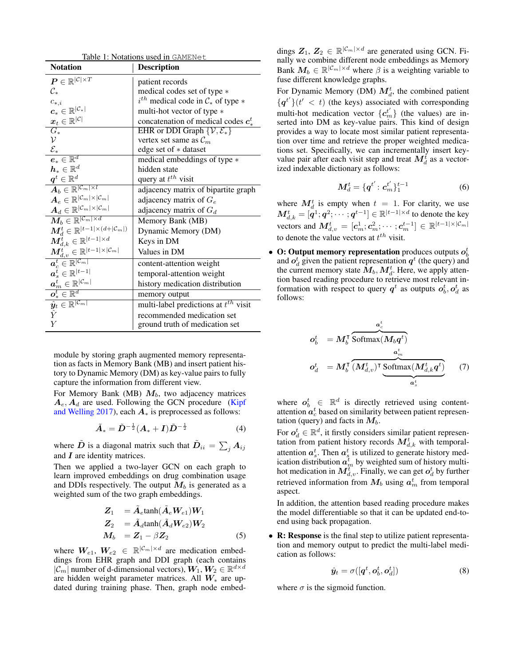| Table 1: Notations used in GAMENet                                              |                                                      |  |
|---------------------------------------------------------------------------------|------------------------------------------------------|--|
| <b>Notation</b>                                                                 | <b>Description</b>                                   |  |
| $\boldsymbol{P} \in \mathbb{R}^{ \mathcal{C}  \times T}$                        | patient records                                      |  |
| $\mathcal{C}_*$                                                                 | medical codes set of type *                          |  |
| $c_{*,i}$                                                                       | $i^{th}$ medical code in $\mathcal{C}_*$ of type $*$ |  |
| $\boldsymbol{c}_* \in \mathbb{R}^{ \mathcal{C}_* }$                             | multi-hot vector of type *                           |  |
| $\boldsymbol{x}_t \in \mathbb{R}^{ \mathcal{C} }$                               | concatenation of medical codes $c_*^t$               |  |
| $\overline{G_{*}}$                                                              | EHR or DDI Graph $\{\mathcal{V}, \mathcal{E}_*\}$    |  |
| $\mathcal V$                                                                    | vertex set same as $\mathcal{C}_m$                   |  |
| $\mathcal{E}_*$                                                                 | edge set of * dataset                                |  |
| $\boldsymbol{e}_* \in \mathbb{R}^d$                                             | medical embeddings of type $*$                       |  |
| $\boldsymbol{h}_* \in \mathbb{R}^d$                                             | hidden state                                         |  |
| $\boldsymbol{q}^t \in \mathbb{R}^d$                                             | query at $t^{th}$ visit                              |  |
| $\overline{A_h}\in\mathbb{R}^{\vert\mathcal{C}_m\vert\times l}$                 | adjacency matrix of bipartite graph                  |  |
| $\boldsymbol{A}_e \in \mathbb{R}^{ \mathcal{C}_m  \times  \mathcal{C}_m }$      | adjacency matrix of $G_e$                            |  |
| $\boldsymbol{A}_d \in \mathbb{R}^{ \mathcal{C}_m  \times  \mathcal{C}_m }$      | adjacency matrix of $G_d$                            |  |
| $\overline{M_{b}\in\mathbb{R}^{\lvert\mathcal{C}_{m}\rvert\times d}}$           | Memory Bank (MB)                                     |  |
| $M_d^t \in \mathbb{R}^{ t-1  \times (d+ \mathcal{C}_m )}$                       | Dynamic Memory (DM)                                  |  |
| $\bm{M}_{d,k}^t \in \mathbb{R}^{ t-1  \times d}$                                | Keys in DM                                           |  |
| $\boldsymbol{M}_{d,\upsilon}^{t} \in \mathbb{R}^{ t-1  \times  \mathcal{C}_m }$ | Values in DM                                         |  |
| $\boldsymbol{a}_{c}^{t} \in \mathbb{R}^{\vert \mathcal{C}_{m} \vert}$           | content-attention weight                             |  |
| $\boldsymbol{a}_{s}^{t} \in \mathbb{R}^{\left t-1\right }$                      | temporal-attention weight                            |  |
| $\boldsymbol{a}_{m}^{t} \in \mathbb{R}^{\left \mathcal{C}_{m}\right }$          | history medication distribution                      |  |
| $\boldsymbol{o}^t_*\in \mathbb{R}^d$                                            | memory output                                        |  |
| $\hat{\pmb{y}_t} \in \mathbb{R}^{ \mathcal{C}_m }$                              | multi-label predictions at $t^{th}$ visit            |  |
| $\hat{Y}$                                                                       | recommended medication set                           |  |
| Y                                                                               | ground truth of medication set                       |  |

module by storing graph augmented memory representation as facts in Memory Bank (MB) and insert patient history to Dynamic Memory (DM) as key-value pairs to fully capture the information from different view.

For Memory Bank (MB)  $M_b$ , two adjacency matrices  $A_e$ ,  $A_d$  are used. Following the GCN procedure [\(Kipf](#page-7-7) [and Welling 2017\)](#page-7-7), each  $A_*$  is preprocessed as follows:

<span id="page-3-1"></span>
$$
\tilde{A}_* = \tilde{D}^{-\frac{1}{2}} (A_* + I) \tilde{D}^{-\frac{1}{2}}
$$
 (4)

where  $\tilde{D}$  is a diagonal matrix such that  $\tilde{D}_{ii} = \sum_j A_{ij}$ and  $I$  are identity matrices.

Then we applied a two-layer GCN on each graph to learn improved embeddings on drug combination usage and DDIs respectively. The output  $M_b$  is generated as a weighted sum of the two graph embeddings.

<span id="page-3-2"></span>
$$
Z_1 = \tilde{A}_e \tanh(\tilde{A}_e W_{e1}) W_1
$$
  
\n
$$
Z_2 = \tilde{A}_d \tanh(\tilde{A}_d W_{e2}) W_2
$$
  
\n
$$
M_b = Z_1 - \beta Z_2
$$
\n(5)

where  $W_{e1}$ ,  $W_{e2} \in \mathbb{R}^{\lvert \mathcal{C}_m \rvert \times d}$  are medication embeddings from EHR graph and DDI graph (each contains  $|C_m|$  number of d-dimensional vectors),  $W_1, W_2 \in \mathbb{R}^{d \times d}$ are hidden weight parameter matrices. All W<sup>∗</sup> are updated during training phase. Then, graph node embed-

dings  $Z_1, Z_2 \in \mathbb{R}^{|\mathcal{C}_m| \times d}$  are generated using GCN. Finally we combine different node embeddings as Memory Bank  $M_b \in \mathbb{R}^{|\mathcal{C}_m| \times d}$  where  $\beta$  is a weighting variable to fuse different knowledge graphs.

For Dynamic Memory (DM)  $M_d^t$ , the combined patient  ${q^{t}}'(t' < t)$  (the keys) associated with corresponding multi-hot medication vector  $\{c_m^{t'}\}$  (the values) are inserted into DM as key-value pairs. This kind of design provides a way to locate most similar patient representation over time and retrieve the proper weighted medications set. Specifically, we can incrementally insert keyvalue pair after each visit step and treat  $M_d^{\dagger}$  as a vectorized indexable dictionary as follows:

<span id="page-3-3"></span>
$$
M_d^t = \{q^{t'}: c_m^{t'}\}_{1}^{t-1}
$$
 (6)

where  $M_d^t$  is empty when  $t = 1$ . For clarity, we use  $\bm{M}_{d,k}^t=[\tilde{\bm{q}}^1;\bm{q}^2;\cdots;\bm{q}^{t-1}]\in\mathbb{R}^{|t-1|\times d}$  to denote the key vectors and  $M_{d,v}^t = [c_m^1;c_m^2;\cdots;c_m^{t-1}] \in \mathbb{R}^{|t-1|\times |\mathcal{C}_m|}$ to denote the value vectors at  $t^{th}$  visit.

• O: Output memory representation produces outputs  $o_b^t$ and  $o_d^t$  given the patient representation  $q^t$  (the query) and the current memory state  $\overline{M}_b$ ,  $\overline{M}_d^t$ . Here, we apply attention based reading procedure to retrieve most relevant information with respect to query  $q^t$  as outputs  $o_b^t, o_d^t$  as follows:

<span id="page-3-0"></span>
$$
\boldsymbol{o}_{b}^{t} = \boldsymbol{M}_{b}^{\mathsf{T}} \overbrace{\text{Softmax}(\boldsymbol{M}_{b}\boldsymbol{q}^{t})}^{\boldsymbol{a}_{c}^{t}} \n\boldsymbol{o}_{d}^{t} = \boldsymbol{M}_{b}^{\mathsf{T}} \overbrace{(\boldsymbol{M}_{d,v}^{t})^{\mathsf{T}} \underbrace{\text{Softmax}(\boldsymbol{M}_{d,k}^{t}\boldsymbol{q}^{t})}_{\boldsymbol{a}_{s}^{t}}}
$$
(7)

where  $o_{b}^{t} \in \mathbb{R}^{d}$  is directly retrieved using contentattention  $a_c^t$  based on similarity between patient representation (query) and facts in  $M_b$ .

For  $\boldsymbol{o}_d^t \in \mathbb{R}^d$ , it firstly considers similar patient representation from patient history records  $M_{d,k}^{t}$  with temporalattention  $a_s^t$ . Then  $a_s^t$  is utilized to generate history medication distribution  $a_m^t$  by weighted sum of history multihot medication in  $M_{d,v}^{\tilde{t}}$ . Finally, we can get  $o_d^t$  by further retrieved information from  $M_b$  using  $a_m^t$  from temporal aspect.

In addition, the attention based reading procedure makes the model differentiable so that it can be updated end-toend using back propagation.

• R: Response is the final step to utilize patient representation and memory output to predict the multi-label medication as follows:

<span id="page-3-4"></span>
$$
\hat{\boldsymbol{y}}_t = \sigma([\boldsymbol{q}^t, \boldsymbol{o}_b^t, \boldsymbol{o}_d^t]) \tag{8}
$$

where  $\sigma$  is the sigmoid function.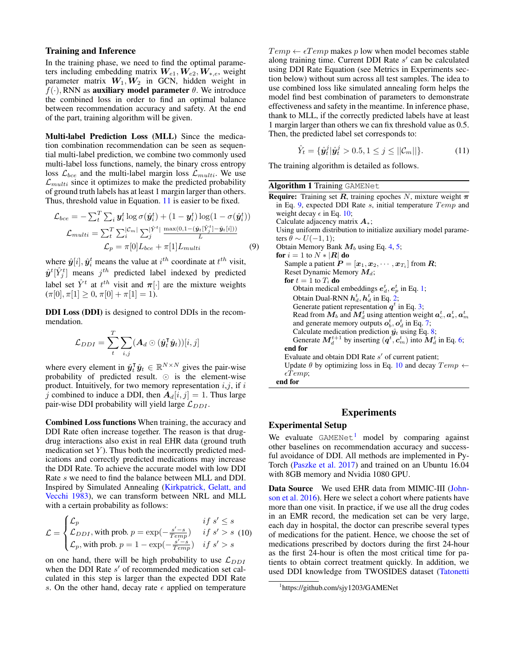# Training and Inference

In the training phase, we need to find the optimal parameters including embedding matrix  $W_{e1}, W_{e2}, W_{*,e}$ , weight parameter matrix  $W_1, W_2$  in GCN, hidden weight in  $f(\cdot)$ , RNN as **auxiliary model parameter**  $\theta$ . We introduce the combined loss in order to find an optimal balance between recommendation accuracy and safety. At the end of the part, training algorithm will be given.

Multi-label Prediction Loss (MLL) Since the medication combination recommendation can be seen as sequential multi-label prediction, we combine two commonly used multi-label loss functions, namely, the binary cross entropy loss  $\mathcal{L}_{bce}$  and the multi-label margin loss  $\mathcal{L}_{multi}$ . We use  $\mathcal{L}_{multi}$  since it optimizes to make the predicted probability of ground truth labels has at least 1 margin larger than others. Thus, threshold value in Equation. [11](#page-4-1) is easier to be fixed.

<span id="page-4-2"></span>
$$
\mathcal{L}_{bce} = -\sum_{t}^{T} \sum_{i} \mathbf{y}_{i}^{t} \log \sigma(\hat{\mathbf{y}}_{i}^{t}) + (1 - \mathbf{y}_{i}^{t}) \log(1 - \sigma(\hat{\mathbf{y}}_{i}^{t}))
$$
\n
$$
\mathcal{L}_{multi} = \sum_{t}^{T} \sum_{i}^{|\mathcal{C}_{m}|} \sum_{j}^{|\hat{Y}^{t}|} \frac{\max(0, 1 - (\hat{\mathbf{y}}_{t} | \hat{Y}_{j}^{t}] - \hat{\mathbf{y}}_{t}[i]))}{L}
$$
\n
$$
\mathcal{L}_{p} = \pi[0] L_{bce} + \pi[1] L_{multi}
$$
\n(9)

where  $\hat{y}[i], \hat{y}_i^t$  means the value at  $i^{th}$  coordinate at  $t^{th}$  visit,  $\hat{\mathbf{y}}^t[\hat{Y}_j^t]$  means  $j^{th}$  predicted label indexed by predicted label set  $\hat{Y}^t$  at  $t^{th}$  visit and  $\pi[\cdot]$  are the mixture weights  $(\pi[0], \pi[1] \geq 0, \pi[0] + \pi[1] = 1).$ 

DDI Loss (DDI) is designed to control DDIs in the recommendation.

$$
\mathcal{L}_{DDI} = \sum_t^T \sum_{i,j} (\bm{A}_d \odot (\hat{\bm{y}}_t^\intercal \hat{\bm{y}}_t)) [i,j]
$$

where every element in  $\hat{\mathbf{y}}_t^{\mathsf{T}} \hat{\mathbf{y}}_t \in \mathbb{R}^{N \times N}$  gives the pair-wise probability of predicted result.  $\odot$  is the element-wise product. Intuitively, for two memory representation  $i, j$ , if  $i$ j combined to induce a DDI, then  $A_d[i, j] = 1$ . Thus large pair-wise DDI probability will yield large  $\mathcal{L}_{DDI}$ .

Combined Loss functions When training, the accuracy and DDI Rate often increase together. The reason is that drugdrug interactions also exist in real EHR data (ground truth medication set  $Y$ ). Thus both the incorrectly predicted medications and correctly predicted medications may increase the DDI Rate. To achieve the accurate model with low DDI Rate s we need to find the balance between MLL and DDI. Inspired by Simulated Annealing [\(Kirkpatrick, Gelatt, and](#page-7-19) [Vecchi 1983\)](#page-7-19), we can transform between NRL and MLL with a certain probability as follows:

<span id="page-4-0"></span>
$$
\mathcal{L} = \begin{cases}\n\mathcal{L}_p & \text{if } s' \le s \\
\mathcal{L}_{DDI}, \text{with prob. } p = \exp(-\frac{s' - s}{Temp}) & \text{if } s' > s \\
\mathcal{L}_p, \text{with prob. } p = 1 - \exp(-\frac{s' - s}{Temp}) & \text{if } s' > s\n\end{cases} \tag{10}
$$

on one hand, there will be high probability to use  $\mathcal{L}_{DDI}$ when the DDI Rate  $s'$  of recommended medication set calculated in this step is larger than the expected DDI Rate s. On the other hand, decay rate  $\epsilon$  applied on temperature

 $Temp \leftarrow \epsilon Temp$  makes p low when model becomes stable along training time. Current DDI Rate  $s'$  can be calculated using DDI Rate Equation (see Metrics in Experiments section below) without sum across all test samples. The idea to use combined loss like simulated annealing form helps the model find best combination of parameters to demonstrate effectiveness and safety in the meantime. In inference phase, thank to MLL, if the correctly predicted labels have at least 1 margin larger than others we can fix threshold value as 0.5. Then, the predicted label set corresponds to:

<span id="page-4-1"></span>
$$
\hat{Y}_t = \{\hat{\mathbf{y}}_t^j | \hat{\mathbf{y}}_t^j > 0.5, 1 \le j \le ||\mathcal{C}_m||\}.
$$
 (11)

The training algorithm is detailed as follows.

| <b>Algorithm 1 Training GAMENet</b> |  |  |
|-------------------------------------|--|--|
|-------------------------------------|--|--|

| <b>Require:</b> Training set R, training epoches N, mixture weight $\pi$                          |
|---------------------------------------------------------------------------------------------------|
| in Eq. 9, expected DDI Rate $s$ , initial temperature $Temp$ and                                  |
| weight decay $\epsilon$ in Eq. 10;                                                                |
| Calculate adjacency matrix $A_*$ ;                                                                |
| Using uniform distribution to initialize auxiliary model parame-                                  |
| ters $\theta \sim U(-1,1)$ ;                                                                      |
| Obtain Memory Bank $M_b$ using Eq. 4, 5;                                                          |
| for $i = 1$ to $N *  R $ do                                                                       |
| Sample a patient $P = [\mathbf{x}_1, \mathbf{x}_2, \cdots, \mathbf{x}_{T_i}]$ from $\mathbf{R}$ ; |
| Reset Dynamic Memory $M_d$ ;                                                                      |
| for $t=1$ to $T_i$ do                                                                             |
| Obtain medical embeddings $e_d^t, e_p^t$ in Eq. 1;                                                |
| Obtain Dual-RNN $h_d^t, h_d^t$ in Eq. 2;                                                          |
| Generate patient representation $q^t$ in Eq. 3;                                                   |
| Read from $M_b$ and $M_d^t$ using attention weight $a_c^t, a_s^t, a_m^t$                          |
| and generate memory outputs $o_b^t$ , $o_d^t$ in Eq. 7;                                           |
| Calculate medication prediction $\hat{y}_t$ using Eq. 8;                                          |
| Generate $M_d^{t+1}$ by inserting $(q^t, c_m^t)$ into $M_d^t$ in Eq. 6;                           |
| end for                                                                                           |
| Evaluate and obtain DDI Rate $s'$ of current patient;                                             |
| Update $\theta$ by optimizing loss in Eq. 10 and decay $Temp \leftarrow$                          |
| $\epsilon Temp$                                                                                   |
| end for                                                                                           |
|                                                                                                   |

# Experiments

### Experimental Setup

We evaluate  $GAMENet<sup>1</sup>$  $GAMENet<sup>1</sup>$  $GAMENet<sup>1</sup>$  model by comparing against other baselines on recommendation accuracy and successful avoidance of DDI. All methods are implemented in Py-Torch [\(Paszke et al. 2017\)](#page-7-20) and trained on an Ubuntu 16.04 with 8GB memory and Nvidia 1080 GPU.

Data Source We used EHR data from MIMIC-III [\(John](#page-7-21)[son et al. 2016\)](#page-7-21). Here we select a cohort where patients have more than one visit. In practice, if we use all the drug codes in an EMR record, the medication set can be very large, each day in hospital, the doctor can prescribe several types of medications for the patient. Hence, we choose the set of medications prescribed by doctors during the first 24-hour as the first 24-hour is often the most critical time for patients to obtain correct treatment quickly. In addition, we used DDI knowledge from TWOSIDES dataset [\(Tatonetti](#page-7-22)

<span id="page-4-3"></span><sup>1</sup> [https://github.com/sjy1203/GAMENet](#page-7-22)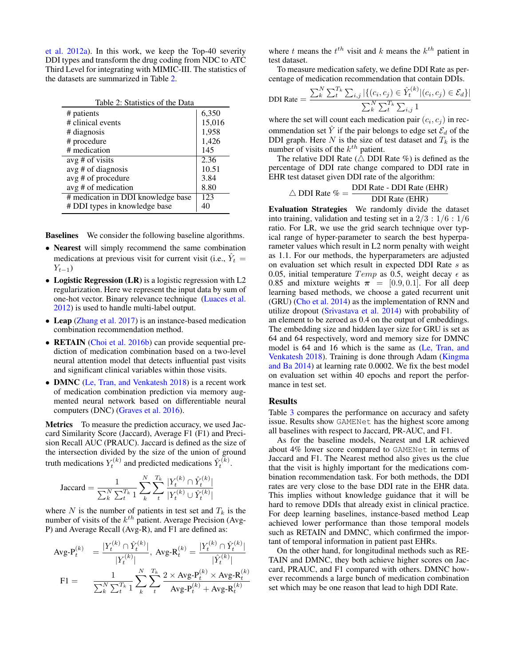[et al. 2012a\)](#page-7-22). In this work, we keep the Top-40 severity DDI types and transform the drug coding from NDC to ATC Third Level for integrating with MIMIC-III. The statistics of the datasets are summarized in Table [2.](#page-5-0)

<span id="page-5-0"></span>

| Table 2: Statistics of the Data    |        |  |  |
|------------------------------------|--------|--|--|
| # patients                         | 6,350  |  |  |
| # clinical events                  | 15,016 |  |  |
| # diagnosis                        | 1,958  |  |  |
| # procedure                        | 1,426  |  |  |
| # medication                       | 145    |  |  |
| avg # of visits                    | 2.36   |  |  |
| avg # of diagnosis                 | 10.51  |  |  |
| avg # of procedure                 | 3.84   |  |  |
| avg # of medication                | 8.80   |  |  |
| # medication in DDI knowledge base | 123    |  |  |
| # DDI types in knowledge base      | 40     |  |  |

Baselines We consider the following baseline algorithms.

- Nearest will simply recommend the same combination medications at previous visit for current visit (i.e.,  $\hat{Y}_t =$  $Y_{t-1}$
- Logistic Regression (LR) is a logistic regression with L2 regularization. Here we represent the input data by sum of one-hot vector. Binary relevance technique [\(Luaces et al.](#page-7-23) [2012\)](#page-7-23) is used to handle multi-label output.
- Leap [\(Zhang et al. 2017\)](#page-7-0) is an instance-based medication combination recommendation method.
- RETAIN [\(Choi et al. 2016b\)](#page-7-2) can provide sequential prediction of medication combination based on a two-level neural attention model that detects influential past visits and significant clinical variables within those visits.
- **DMNC** [\(Le, Tran, and Venkatesh 2018\)](#page-7-5) is a recent work of medication combination prediction via memory augmented neural network based on differentiable neural computers (DNC) [\(Graves et al. 2016\)](#page-7-12).

Metrics To measure the prediction accuracy, we used Jaccard Similarity Score (Jaccard), Average F1 (F1) and Precision Recall AUC (PRAUC). Jaccard is defined as the size of the intersection divided by the size of the union of ground truth medications  $Y_t^{(k)}$  and predicted medications  $\hat{Y}_t^{(k)}$ .

Jaccard = 
$$
\frac{1}{\sum_{k}^{N} \sum_{t}^{T_{k}} 1} \sum_{k}^{N} \sum_{t}^{T_{k}} \frac{|Y_{t}^{(k)} \cap \hat{Y}_{t}^{(k)}|}{|Y_{t}^{(k)} \cup \hat{Y}_{t}^{(k)}|}
$$

where N is the number of patients in test set and  $T_k$  is the number of visits of the  $k^{th}$  patient. Average Precision (Avg-P) and Average Recall (Avg-R), and F1 are defined as:

$$
\begin{aligned}\n\text{Avg-P}_{t}^{(k)} \quad &= \frac{|Y_{t}^{(k)} \cap \hat{Y}_{t}^{(k)}|}{|Y_{t}^{(k)}|}, \ \text{Avg-R}_{t}^{(k)} = \frac{|Y_{t}^{(k)} \cap \hat{Y}_{t}^{(k)}|}{|\hat{Y}_{t}^{(k)}|} \\
\text{F1} = \quad & \frac{1}{\sum_{k}^{N} \sum_{t}^{T_{k}} 1} \sum_{k}^{N} \sum_{t}^{T_{k}} \frac{2 \times \text{Avg-P}_{t}^{(k)} \times \text{Avg-R}_{t}^{(k)}}{\text{Avg-P}_{t}^{(k)} + \text{Avg-R}_{t}^{(k)}}\n\end{aligned}
$$

where t means the  $t^{th}$  visit and k means the  $k^{th}$  patient in test dataset.

To measure medication safety, we define DDI Rate as percentage of medication recommendation that contain DDIs.

$$
\text{DDI Rate} = \frac{\sum_{k}^{N} \sum_{t}^{T_{k}} \sum_{i,j} |\{(c_{i}, c_{j}) \in \hat{Y}_{t}^{(k)} | (c_{i}, c_{j}) \in \mathcal{E}_{d}\}|}{\sum_{k}^{N} \sum_{t}^{T_{k}} \sum_{i,j} 1}
$$

where the set will count each medication pair  $(c_i, c_j)$  in recommendation set  $\hat{Y}$  if the pair belongs to edge set  $\mathcal{E}_d$  of the DDI graph. Here N is the size of test dataset and  $T_k$  is the number of visits of the  $k^{th}$  patient.

The relative DDI Rate  $(\triangle$  DDI Rate %) is defined as the percentage of DDI rate change compared to DDI rate in EHR test dataset given DDI rate of the algorithm:

$$
\triangle DDI Rate \% = \frac{DDI Rate - DDI Rate (EHR)}{DDI Rate (EHR)}
$$

Evaluation Strategies We randomly divide the dataset into training, validation and testing set in a  $2/3$  :  $1/6$  :  $1/6$ ratio. For LR, we use the grid search technique over typical range of hyper-parameter to search the best hyperparameter values which result in L2 norm penalty with weight as 1.1. For our methods, the hyperparameters are adjusted on evaluation set which result in expected DDI Rate s as 0.05, initial temperature  $Temp$  as 0.5, weight decay  $\epsilon$  as 0.85 and mixture weights  $\pi = [0.9, 0.1]$ . For all deep learning based methods, we choose a gated recurrent unit (GRU) [\(Cho et al. 2014\)](#page-7-24) as the implementation of RNN and utilize dropout [\(Srivastava et al. 2014\)](#page-7-25) with probability of an element to be zeroed as 0.4 on the output of embeddings. The embedding size and hidden layer size for GRU is set as 64 and 64 respectively, word and memory size for DMNC model is 64 and 16 which is the same as [\(Le, Tran, and](#page-7-5) [Venkatesh 2018\)](#page-7-5). Training is done through Adam [\(Kingma](#page-7-26) [and Ba 2014\)](#page-7-26) at learning rate 0.0002. We fix the best model on evaluation set within 40 epochs and report the performance in test set.

### Results

Table [3](#page-6-0) compares the performance on accuracy and safety issue. Results show GAMENet has the highest score among all baselines with respect to Jaccard, PR-AUC, and F1.

As for the baseline models, Nearest and LR achieved about 4% lower score compared to GAMENet in terms of Jaccard and F1. The Nearest method also gives us the clue that the visit is highly important for the medications combination recommendation task. For both methods, the DDI rates are very close to the base DDI rate in the EHR data. This implies without knowledge guidance that it will be hard to remove DDIs that already exist in clinical practice. For deep learning baselines, instance-based method Leap achieved lower performance than those temporal models such as RETAIN and DMNC, which confirmed the important of temporal information in patient past EHRs.

On the other hand, for longitudinal methods such as RE-TAIN and DMNC, they both achieve higher scores on Jaccard, PRAUC, and F1 compared with others. DMNC however recommends a large bunch of medication combination set which may be one reason that lead to high DDI Rate.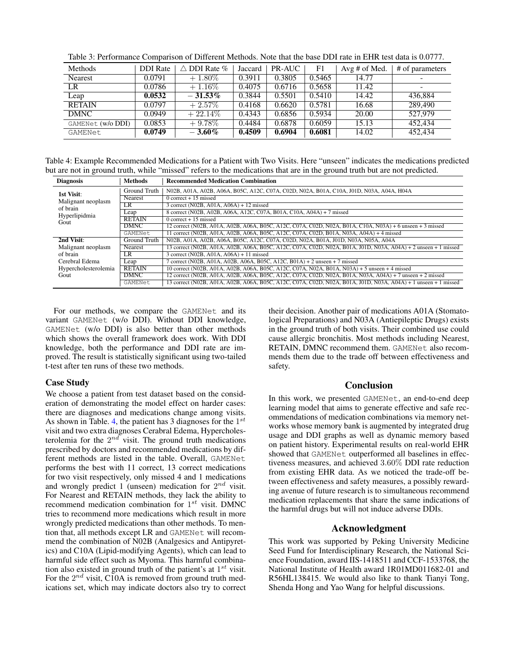<span id="page-6-0"></span>Table 3: Performance Comparison of Different Methods. Note that the base DDI rate in EHR test data is 0.0777.

| Methods           | <b>DDI</b> Rate | $\triangle$ DDI Rate % | Jaccard | PR-AUC | F1     | Avg # of Med. | # of parameters |
|-------------------|-----------------|------------------------|---------|--------|--------|---------------|-----------------|
| <b>Nearest</b>    | 0.0791          | $+1.80\%$              | 0.3911  | 0.3805 | 0.5465 | 14.77         |                 |
| LR                | 0.0786          | $+1.16\%$              | 0.4075  | 0.6716 | 0.5658 | 11.42         |                 |
| Leap              | 0.0532          | $-31.53\%$             | 0.3844  | 0.5501 | 0.5410 | 14.42         | 436,884         |
| <b>RETAIN</b>     | 0.0797          | $+2.57\%$              | 0.4168  | 0.6620 | 0.5781 | 16.68         | 289,490         |
| <b>DMNC</b>       | 0.0949          | $+22.14\%$             | 0.4343  | 0.6856 | 0.5934 | 20.00         | 527,979         |
| GAMENet (w/o DDI) | 0.0853          | $+9.78\%$              | 0.4484  | 0.6878 | 0.6059 | 15.13         | 452.434         |
| GAMENet           | 0.0749          | $-3.60\%$              | 0.4509  | 0.6904 | 0.6081 | 14.02         | 452,434         |

<span id="page-6-1"></span>Table 4: Example Recommended Medications for a Patient with Two Visits. Here "unseen" indicates the medications predicted but are not in ground truth, while "missed" refers to the medications that are in the ground truth but are not predicted.

| <b>Diagnosis</b>                                                            | <b>Methods</b>      | <b>Recommended Medication Combination</b>                                                                       |
|-----------------------------------------------------------------------------|---------------------|-----------------------------------------------------------------------------------------------------------------|
| 1st Visit:<br>Malignant neoplasm<br>LR<br>of brain<br>Hyperlipidmia<br>Gout | Ground Truth        | N02B, A01A, A02B, A06A, B05C, A12C, C07A, C02D, N02A, B01A, C10A, J01D, N03A, A04A, H04A                        |
|                                                                             | Nearest             | $0$ correct $+15$ missed                                                                                        |
|                                                                             |                     | 3 correct (N02B, A01A, $A06A$ ) + 12 missed                                                                     |
|                                                                             | Leap                | 8 correct (N02B, A02B, A06A, A12C, C07A, B01A, C10A, A04A) + 7 missed                                           |
|                                                                             | <b>RETAIN</b>       | $0$ correct $+15$ missed                                                                                        |
|                                                                             | <b>DMNC</b>         | 12 correct (N02B, A01A, A02B, A06A, B05C, A12C, C07A, C02D, N02A, B01A, C10A, N03A) + 6 unseen + 3 missed       |
|                                                                             | GAMENet             | 11 correct (N02B, A01A, A02B, A06A, B05C, A12C, C07A, C02D, B01A, N03A, A04A) + 4 missed                        |
| 2nd Visit:                                                                  | <b>Ground Truth</b> | N02B, A01A, A02B, A06A, B05C, A12C, C07A, C02D, N02A, B01A, J01D, N03A, N05A, A04A                              |
| Malignant neoplasm                                                          | Nearest             | 13 correct (N02B, A01A, A02B, A06A, B05C, A12C, C07A, C02D, N02A, B01A, J01D, N03A, A04A) + 2 unseen + 1 missed |
| of brain                                                                    | LR.                 | 3 correct (N02B, A01A, $A06A$ ) + 11 missed                                                                     |
| Cerebral Edema                                                              | Leap                | 7 correct (N02B, A01A, A02B, A06A, B05C, A12C, B01A) + 2 unseen + 7 missed                                      |
| Hypercholesterolemia                                                        | <b>RETAIN</b>       | 10 correct (N02B, A01A, A02B, A06A, B05C, A12C, C07A, N02A, B01A, N03A) + 5 unseen + 4 missed                   |
| Gout                                                                        | DMNC                | 12 correct (N02B, A01A, A02B, A06A, B05C, A12C, C07A, C02D, N02A, B01A, N03A, A04A) + 7 unseen + 2 missed       |
|                                                                             | GAMENet             | 13 correct (N02B, A01A, A02B, A06A, B05C, A12C, C07A, C02D, N02A, B01A, J01D, N03A, A04A) + 1 unseen + 1 missed |

For our methods, we compare the GAMENet and its variant GAMENet (w/o DDI). Without DDI knowledge, GAMENet (w/o DDI) is also better than other methods which shows the overall framework does work. With DDI knowledge, both the performance and DDI rate are improved. The result is statistically significant using two-tailed t-test after ten runs of these two methods.

### Case Study

We choose a patient from test dataset based on the consideration of demonstrating the model effect on harder cases: there are diagnoses and medications change among visits. As shown in Table. [4,](#page-6-1) the patient has 3 diagnoses for the  $1^{st}$ visit and two extra diagnoses Cerabral Edema, Hypercholesterolemia for the  $2^{nd}$  visit. The ground truth medications prescribed by doctors and recommended medications by different methods are listed in the table. Overall, GAMENet performs the best with 11 correct, 13 correct medications for two visit respectively, only missed 4 and 1 medications and wrongly predict 1 (unseen) medication for  $2^{nd}$  visit. For Nearest and RETAIN methods, they lack the ability to recommend medication combination for  $1^{st}$  visit. DMNC tries to recommend more medications which result in more wrongly predicted medications than other methods. To mention that, all methods except LR and GAMENet will recommend the combination of N02B (Analgesics and Antipyretics) and C10A (Lipid-modifying Agents), which can lead to harmful side effect such as Myoma. This harmful combination also existed in ground truth of the patient's at  $1^{st}$  visit. For the  $2^{nd}$  visit, C10A is removed from ground truth medications set, which may indicate doctors also try to correct

their decision. Another pair of medications A01A (Stomatological Preparations) and N03A (Antiepileptic Drugs) exists in the ground truth of both visits. Their combined use could cause allergic bronchitis. Most methods including Nearest, RETAIN, DMNC recommend them. GAMENet also recommends them due to the trade off between effectiveness and safety.

# Conclusion

In this work, we presented GAMENet, an end-to-end deep learning model that aims to generate effective and safe recommendations of medication combinations via memory networks whose memory bank is augmented by integrated drug usage and DDI graphs as well as dynamic memory based on patient history. Experimental results on real-world EHR showed that GAMENet outperformed all baselines in effectiveness measures, and achieved 3.60% DDI rate reduction from existing EHR data. As we noticed the trade-off between effectiveness and safety measures, a possibly rewarding avenue of future research is to simultaneous recommend medication replacements that share the same indications of the harmful drugs but will not induce adverse DDIs.

# Acknowledgment

This work was supported by Peking University Medicine Seed Fund for Interdisciplinary Research, the National Science Foundation, award IIS-1418511 and CCF-1533768, the National Institute of Health award 1R01MD011682-01 and R56HL138415. We would also like to thank Tianyi Tong, Shenda Hong and Yao Wang for helpful discussions.